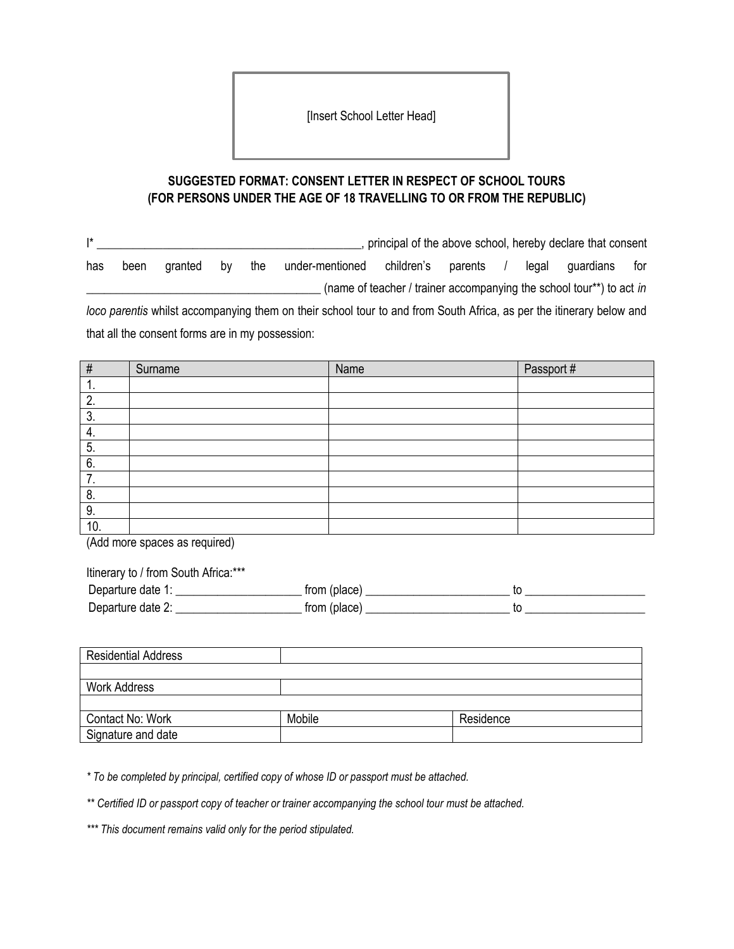[Insert School Letter Head]

## **SUGGESTED FORMAT: CONSENT LETTER IN RESPECT OF SCHOOL TOURS (FOR PERSONS UNDER THE AGE OF 18 TRAVELLING TO OR FROM THE REPUBLIC)**

I\* \_\_\_\_\_\_\_\_\_\_\_\_\_\_\_\_\_\_\_\_\_\_\_\_\_\_\_\_\_\_\_\_\_\_\_\_\_\_\_\_\_\_\_\_, principal of the above school, hereby declare that consent has been granted by the under-mentioned children's parents / legal guardians for (name of teacher / trainer accompanying the school tour\*\*) to act *in loco parentis* whilst accompanying them on their school tour to and from South Africa, as per the itinerary below and

that all the consent forms are in my possession:

| $\#$ | Surname | Name | Passport # |
|------|---------|------|------------|
| . .  |         |      |            |
| 2.   |         |      |            |
| 3.   |         |      |            |
| 4.   |         |      |            |
| 5.   |         |      |            |
| 6.   |         |      |            |
| 7.   |         |      |            |
| 8.   |         |      |            |
| 9.   |         |      |            |
| 10.  |         |      |            |

(Add more spaces as required)

Itinerary to / from South Africa:\*\*\*

| Departure date 1: | from (place) |  |
|-------------------|--------------|--|
| Departure date 2: | from (place) |  |

| <b>Residential Address</b> |        |           |
|----------------------------|--------|-----------|
|                            |        |           |
| <b>Work Address</b>        |        |           |
|                            |        |           |
| Contact No: Work           | Mobile | Residence |
| Signature and date         |        |           |

*\* To be completed by principal, certified copy of whose ID or passport must be attached.*

*\*\* Certified ID or passport copy of teacher or trainer accompanying the school tour must be attached.*

*\*\*\* This document remains valid only for the period stipulated.*